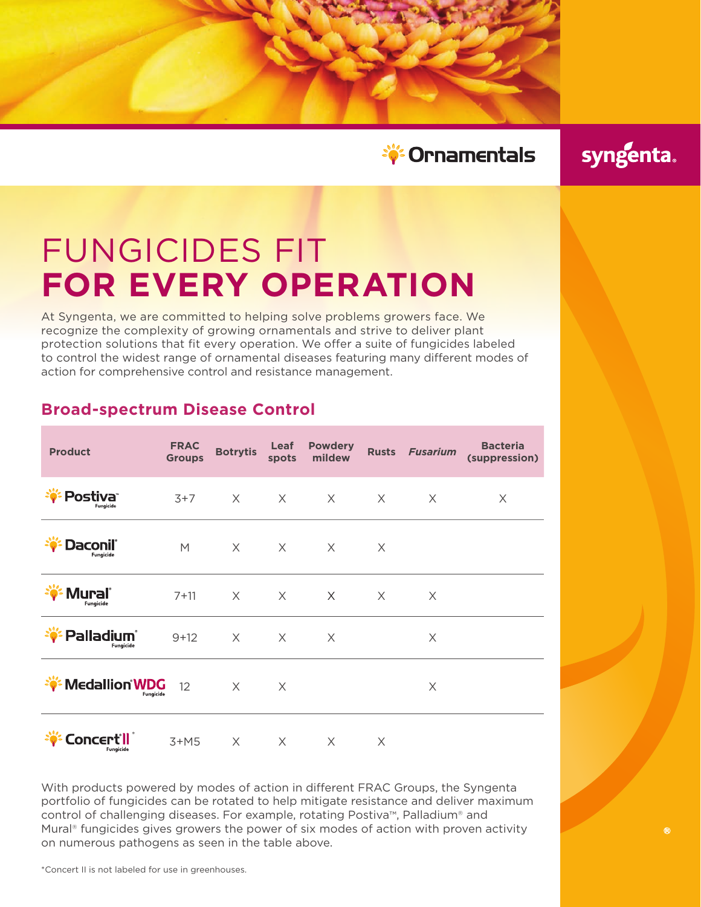

syngenta.

 $\bigcirc$ 

# FUNGICIDES FIT **FOR EVERY OPERATION**

At Syngenta, we are committed to helping solve problems growers face. We recognize the complexity of growing ornamentals and strive to deliver plant protection solutions that fit every operation. We offer a suite of fungicides labeled to control the widest range of ornamental diseases featuring many different modes of action for comprehensive control and resistance management.

| <b>Product</b>                    | <b>FRAC</b><br><b>Groups</b> | <b>Botrytis</b> | Leaf<br>spots | <b>Powdery</b><br>mildew | <b>Rusts</b> | <b>Fusarium</b> | <b>Bacteria</b><br>(suppression) |
|-----------------------------------|------------------------------|-----------------|---------------|--------------------------|--------------|-----------------|----------------------------------|
| Postiva <sup>®</sup><br>Fungicide | $3+7$                        | $\times$        | $\times$      | $\times$                 | $\times$     | $\times$        | X                                |
| Daconil°<br>Fungicide             | M                            | $\times$        | $\times$      | $\times$                 | X            |                 |                                  |
| Mural®<br>Fungicide               | $7 + 11$                     | $\times$        | $\times$      | $\times$                 | $\times$     | X               |                                  |
| <b>Palladium</b> ®<br>Fungicide   | $9+12$                       | $\times$        | $\times$      | $\times$                 |              | X               |                                  |
| <b>Medallion WDG</b><br>Fungicide | 12                           | $\times$        | X             |                          |              | X               |                                  |
| Concert'i<br>Fungicide            | $3+M5$                       | X               | $\times$      | X                        | X            |                 |                                  |

## **Broad-spectrum Disease Control**

With products powered by modes of action in different FRAC Groups, the Syngenta portfolio of fungicides can be rotated to help mitigate resistance and deliver maximum control of challenging diseases. For example, rotating Postiva™, Palladium® and Mural<sup>®</sup> fungicides gives growers the power of six modes of action with proven activity on numerous pathogens as seen in the table above.

\*Concert II is not labeled for use in greenhouses.